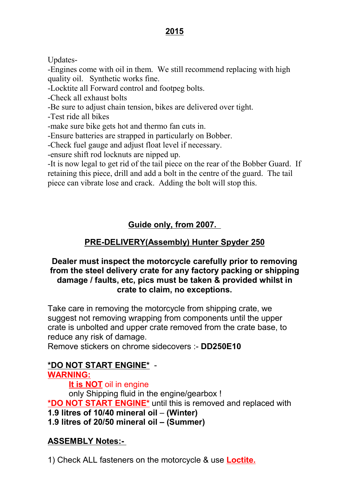#### 2015

Updates-

-Engines come with oil in them. We still recommend replacing with high quality oil. Synthetic works fine.

-Locktite all Forward control and footpeg bolts.

-Check all exhaust bolts

-Be sure to adjust chain tension, bikes are delivered over tight.

-Test ride all bikes

-make sure bike gets hot and thermo fan cuts in.

-Ensure batteries are strapped in particularly on Bobber.

-Check fuel gauge and adjust float level if necessary.

-ensure shift rod locknuts are nipped up.

-It is now legal to get rid of the tail piece on the rear of the Bobber Guard. If retaining this piece, drill and add a bolt in the centre of the guard. The tail piece can vibrate lose and crack. Adding the bolt will stop this.

# Guide only, from 2007.

## PRE-DELIVERY(Assembly) Hunter Spyder 250

#### Dealer must inspect the motorcycle carefully prior to removing from the steel delivery crate for any factory packing or shipping damage / faults, etc, pics must be taken & provided whilst in crate to claim, no exceptions.

Take care in removing the motorcycle from shipping crate, we suggest not removing wrapping from components until the upper crate is unbolted and upper crate removed from the crate base, to reduce any risk of damage.

Remove stickers on chrome sidecovers :- DD250E10

# \*DO NOT START ENGINE\* -

WARNING:

It is NOT oil in engine

only Shipping fluid in the engine/gearbox ! \*DO NOT START ENGINE\* until this is removed and replaced with 1.9 litres of 10/40 mineral oil – (Winter)

1.9 litres of 20/50 mineral oil – (Summer)

## ASSEMBLY Notes:-

1) Check ALL fasteners on the motorcycle & use **Loctite.**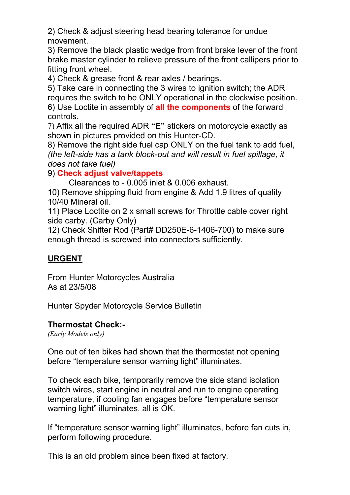2) Check & adjust steering head bearing tolerance for undue movement.

3) Remove the black plastic wedge from front brake lever of the front brake master cylinder to relieve pressure of the front callipers prior to fitting front wheel.

4) Check & grease front & rear axles / bearings.

5) Take care in connecting the 3 wires to ignition switch; the ADR requires the switch to be ONLY operational in the clockwise position. 6) Use Loctite in assembly of **all the components** of the forward controls.

7) Affix all the required ADR "E" stickers on motorcycle exactly as shown in pictures provided on this Hunter-CD.

8) Remove the right side fuel cap ONLY on the fuel tank to add fuel, (the left-side has a tank block-out and will result in fuel spillage, it does not take fuel)

## 9) Check adjust valve/tappets

Clearances to - 0.005 inlet & 0.006 exhaust.

10) Remove shipping fluid from engine & Add 1.9 litres of quality 10/40 Mineral oil.

11) Place Loctite on 2 x small screws for Throttle cable cover right side carby. (Carby Only)

12) Check Shifter Rod (Part# DD250E-6-1406-700) to make sure enough thread is screwed into connectors sufficiently.

## URGENT

From Hunter Motorcycles Australia As at 23/5/08

Hunter Spyder Motorcycle Service Bulletin

## Thermostat Check:-

(Early Models only)

One out of ten bikes had shown that the thermostat not opening before "temperature sensor warning light" illuminates.

To check each bike, temporarily remove the side stand isolation switch wires, start engine in neutral and run to engine operating temperature, if cooling fan engages before "temperature sensor warning light" illuminates, all is OK.

If "temperature sensor warning light" illuminates, before fan cuts in, perform following procedure.

This is an old problem since been fixed at factory.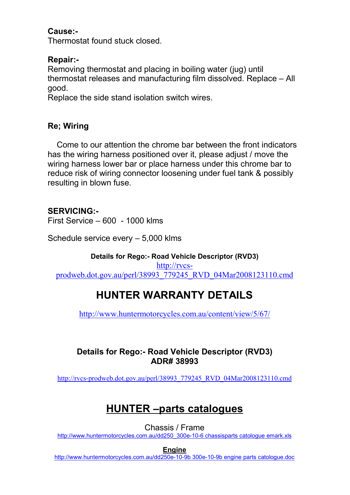#### Cause:-

Thermostat found stuck closed.

## Repair:-

Removing thermostat and placing in boiling water (jug) until thermostat releases and manufacturing film dissolved. Replace – All good.

Replace the side stand isolation switch wires.

## Re; Wiring

 Come to our attention the chrome bar between the front indicators has the wiring harness positioned over it, please adjust / move the wiring harness lower bar or place harness under this chrome bar to reduce risk of wiring connector loosening under fuel tank & possibly resulting in blown fuse.

## SERVICING:-

First Service – 600 - 1000 klms

Schedule service every – 5,000 klms

Details for Rego:- Road Vehicle Descriptor (RVD3) http://rvcsprodweb.dot.gov.au/perl/38993\_779245\_RVD\_04Mar2008123110.cmd

# HUNTER WARRANTY DETAILS

http://www.huntermotorcycles.com.au/content/view/5/67/

#### Details for Rego:- Road Vehicle Descriptor (RVD3) ADR# 38993

http://rvcs-prodweb.dot.gov.au/perl/38993\_779245\_RVD\_04Mar2008123110.cmd

# HUNTER –parts catalogues

Chassis / Frame

http://www.huntermotorcycles.com.au/dd250\_300e-10-6 chassisparts catologue emark.xls

Engine

http://www.huntermotorcycles.com.au/dd250e-10-9b 300e-10-9b engine parts catologue.doc